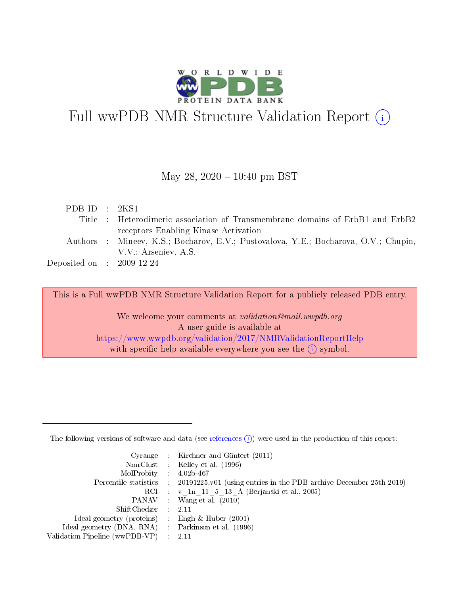

# Full wwPDB NMR Structure Validation Report (i)

## May 28,  $2020 - 10:40$  pm BST

| PDBID : 2KS1                |                                                                                     |
|-----------------------------|-------------------------------------------------------------------------------------|
|                             | Title : Heterodimeric association of Transmembrane domains of ErbB1 and ErbB2       |
|                             | receptors Enabling Kinase Activation                                                |
|                             | Authors : Mineev, K.S.; Bocharov, E.V.; Pustovalova, Y.E.; Bocharova, O.V.; Chupin, |
|                             | V.V.; Arseniev, A.S.                                                                |
| Deposited on : $2009-12-24$ |                                                                                     |

This is a Full wwPDB NMR Structure Validation Report for a publicly released PDB entry.

We welcome your comments at *validation@mail.wwpdb.org* A user guide is available at <https://www.wwpdb.org/validation/2017/NMRValidationReportHelp> with specific help available everywhere you see the  $(i)$  symbol.

The following versions of software and data (see [references](https://www.wwpdb.org/validation/2017/NMRValidationReportHelp#references)  $(1)$ ) were used in the production of this report:

|                                                     | Cyrange : Kirchner and Güntert $(2011)$                                                    |
|-----------------------------------------------------|--------------------------------------------------------------------------------------------|
|                                                     | NmrClust : Kelley et al. (1996)                                                            |
| $MolProbability$ 4.02b-467                          |                                                                                            |
|                                                     | Percentile statistics : 20191225.v01 (using entries in the PDB archive December 25th 2019) |
|                                                     | RCI : v 1n 11 5 13 A (Berjanski et al., 2005)                                              |
|                                                     | PANAV Wang et al. (2010)                                                                   |
| $ShiftChecker$ 2.11                                 |                                                                                            |
| Ideal geometry (proteins) : Engh $\&$ Huber (2001)  |                                                                                            |
| Ideal geometry (DNA, RNA) : Parkinson et al. (1996) |                                                                                            |
| Validation Pipeline (wwPDB-VP)                      | $\sim 2.11$                                                                                |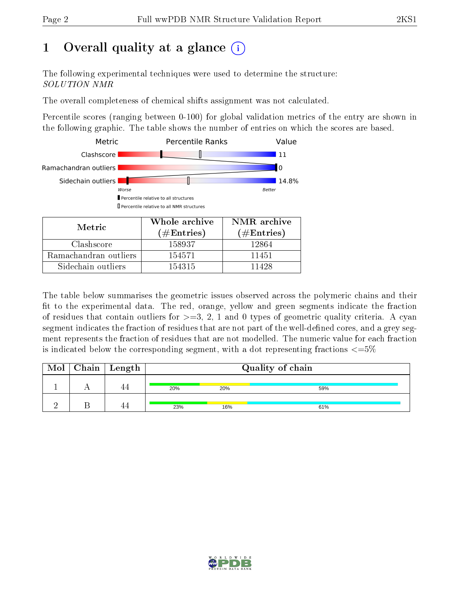# 1 [O](https://www.wwpdb.org/validation/2017/NMRValidationReportHelp#overall_quality)verall quality at a glance (i)

The following experimental techniques were used to determine the structure: SOLUTION NMR

The overall completeness of chemical shifts assignment was not calculated.

Percentile scores (ranging between 0-100) for global validation metrics of the entry are shown in the following graphic. The table shows the number of entries on which the scores are based.



The table below summarises the geometric issues observed across the polymeric chains and their fit to the experimental data. The red, orange, yellow and green segments indicate the fraction of residues that contain outliers for  $>=3, 2, 1$  and 0 types of geometric quality criteria. A cyan segment indicates the fraction of residues that are not part of the well-defined cores, and a grey segment represents the fraction of residues that are not modelled. The numeric value for each fraction is indicated below the corresponding segment, with a dot representing fractions  $\epsilon = 5\%$ 

| Mol | $C$ hain   Length | Quality of chain |     |     |  |
|-----|-------------------|------------------|-----|-----|--|
|     |                   | 20%              | 20% | 59% |  |
|     |                   | 23%              | 16% | 61% |  |

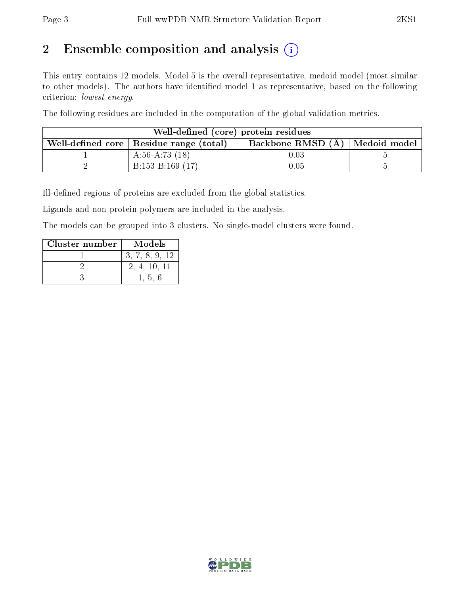# 2 Ensemble composition and analysis  $(i)$

This entry contains 12 models. Model 5 is the overall representative, medoid model (most similar to other models). The authors have identified model 1 as representative, based on the following criterion: lowest energy.

The following residues are included in the computation of the global validation metrics.

| Well-defined (core) protein residues                                            |                   |          |  |  |  |  |  |
|---------------------------------------------------------------------------------|-------------------|----------|--|--|--|--|--|
| Backbone RMSD (A)   Medoid model  <br>Well-defined core   Residue range (total) |                   |          |  |  |  |  |  |
|                                                                                 | A:56-A:73 $(18)$  | $0.03\,$ |  |  |  |  |  |
|                                                                                 | $B:153-B:169(17)$ | 0.05     |  |  |  |  |  |

Ill-defined regions of proteins are excluded from the global statistics.

Ligands and non-protein polymers are included in the analysis.

The models can be grouped into 3 clusters. No single-model clusters were found.

| Cluster number | Models         |
|----------------|----------------|
|                | 3, 7, 8, 9, 12 |
|                | 2, 4, 10, 11   |
|                | 1.56           |

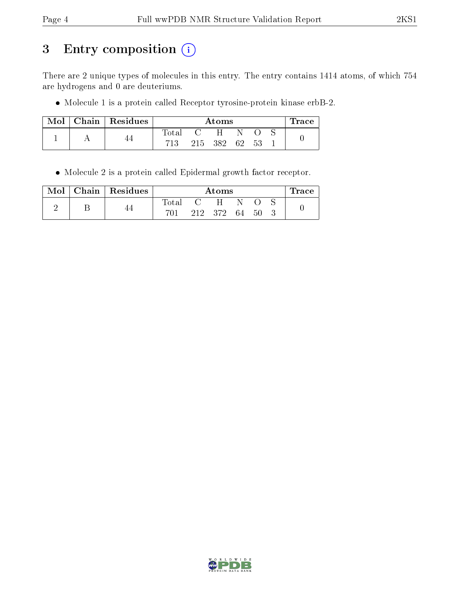# 3 Entry composition (i)

There are 2 unique types of molecules in this entry. The entry contains 1414 atoms, of which 754 are hydrogens and 0 are deuteriums.

Molecule 1 is a protein called Receptor tyrosine-protein kinase erbB-2.

|  | $\parallel$ Mol $\parallel$ Chain $\parallel$ Residues |             | Atoms |                |      |     |  | $\operatorname{Trace}$ |
|--|--------------------------------------------------------|-------------|-------|----------------|------|-----|--|------------------------|
|  |                                                        | $\rm Total$ |       | $\overline{H}$ |      |     |  |                        |
|  |                                                        | 713         |       | 215 382        | - 62 | -53 |  |                        |

Molecule 2 is a protein called Epidermal growth factor receptor.

| Mol | Chain   Residues |       | Atoms   |    |     | l'race |
|-----|------------------|-------|---------|----|-----|--------|
|     |                  | Total | H       |    |     |        |
|     |                  | 701   | 212 372 | 64 | -50 |        |

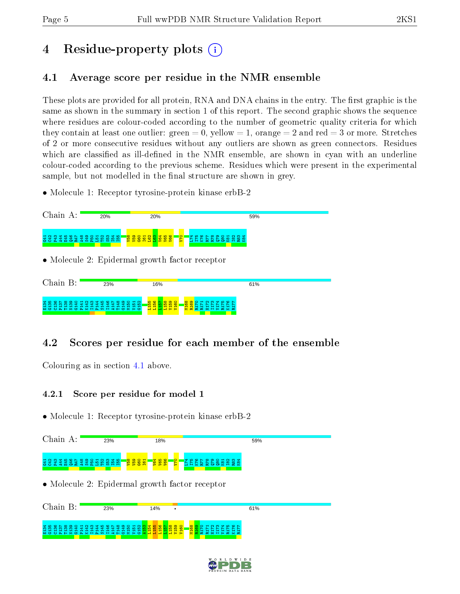# 4 Residue-property plots  $\binom{1}{1}$

## <span id="page-4-0"></span>4.1 Average score per residue in the NMR ensemble

These plots are provided for all protein, RNA and DNA chains in the entry. The first graphic is the same as shown in the summary in section 1 of this report. The second graphic shows the sequence where residues are colour-coded according to the number of geometric quality criteria for which they contain at least one outlier: green  $= 0$ , yellow  $= 1$ , orange  $= 2$  and red  $= 3$  or more. Stretches of 2 or more consecutive residues without any outliers are shown as green connectors. Residues which are classified as ill-defined in the NMR ensemble, are shown in cyan with an underline colour-coded according to the previous scheme. Residues which were present in the experimental sample, but not modelled in the final structure are shown in grey.

• Molecule 1: Receptor tyrosine-protein kinase erbB-2



## 4.2 Scores per residue for each member of the ensemble

Colouring as in section [4.1](#page-4-0) above.

## 4.2.1 Score per residue for model 1



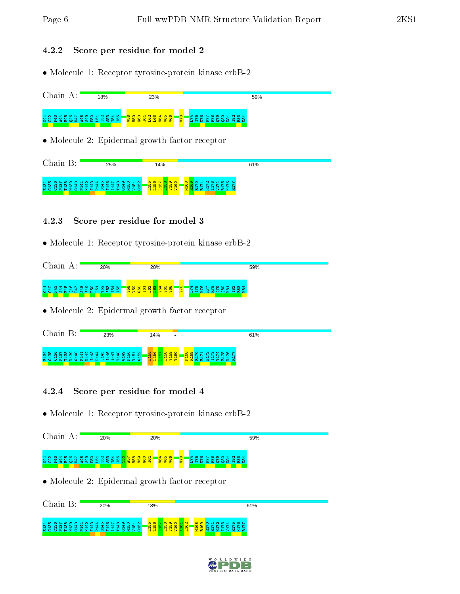## 4.2.2 Score per residue for model 2

• Molecule 1: Receptor tyrosine-protein kinase erbB-2

| Chain A:<br>18%                                        | 23%                                                | 59%    |  |
|--------------------------------------------------------|----------------------------------------------------|--------|--|
| 3334885488656856                                       | <b><u>និន្នីដីដីដីនីន្នី</u></b><br>$\frac{5}{24}$ | ₽<br>돑 |  |
| $\bullet$ Molecule 2: Epidermal growth factor receptor |                                                    |        |  |
| Chain B:<br>25%                                        | 14%                                                | 61%    |  |

M168

R169<br>R172<br>R172<br>R173<br>R176<br>R176<br>R176

R177

## 4.2.3 Score per residue for model 3

E134 G135 C136 P137 T138 N139 G140 P141 K142 I143 P144 S145 I146 A147 T148 G149 M150 V151 G152 L155 L156 L157 L158 V159 V160

• Molecule 1: Receptor tyrosine-protein kinase erbB-2

| Chain<br>А:                                                 | 20%                                                             | 20%                                                                                                       | 59%                                                                                    |
|-------------------------------------------------------------|-----------------------------------------------------------------|-----------------------------------------------------------------------------------------------------------|----------------------------------------------------------------------------------------|
| + ഥ<br>ന<br>$ \sim$<br>ന<br><b>CO</b><br>~<br>$\rightarrow$ | ് വ്യാപ്പ<br>$\sim$<br>ത<br>ഹ<br>⊶.<br><b>PP</b><br>ഥ<br>讽<br>鲁 | $\circ$<br><b>O</b><br>െ<br>$\circ$<br>$\blacksquare$<br><u>, a ro</u><br>99<br>$\circ$<br><u>ାର</u><br>E | O H N M<br>$\sim$ $\sim$ $\sim$<br>$\infty$ $\infty$<br>. ಜಿ ಇ<br>'용결효<br><u> සි ක</u> |

• Molecule 2: Epidermal growth factor receptor

| Chain                                                                                                                           | 23%                                                                                                   | 14%                                                                                   | 61%                                                                                                                             |
|---------------------------------------------------------------------------------------------------------------------------------|-------------------------------------------------------------------------------------------------------|---------------------------------------------------------------------------------------|---------------------------------------------------------------------------------------------------------------------------------|
| $\frac{4}{36}$<br><b>[유 규]</b><br>-의<br>$\approx 2.5$<br>$\sim$<br>--<br>$\overline{\phantom{a}}$<br>-<br>-<br>--<br><b>M</b> C | 873<br>. ಇ ತ<br>இ<br>유 부 유<br>"岛<br>⊣<br>- -<br>--<br>-<br><b>O A H Z O A X H A WH 4 H O Z &gt; O</b> | 읾<br>858<br><mark>. 8 8</mark><br>$\blacksquare$<br>$\blacksquare$<br>-<br>⊣<br>그리니니어 | <b>NM</b> 410<br>$\circ$ $\sim$<br>o<br><mark>.8 8</mark><br>⊣<br>~<br>~<br>--<br>-<br>-<br>--<br><b>E G G G H H &gt; G X G</b> |

### 4.2.4 Score per residue for model 4

| Chain A:                    | 20%                                                       | 20%                                                                 | 59%                                                           |
|-----------------------------|-----------------------------------------------------------|---------------------------------------------------------------------|---------------------------------------------------------------|
| <b>SSXSESSESSESSESSESSE</b> |                                                           | <mark>္ ေမ</mark> ်ာ<br>$\overline{\mathbf{S}}$                     | $\begin{array}{l} 8888888834711\\ 23888883433411 \end{array}$ |
|                             |                                                           | • Molecule 2: Epidermal growth factor receptor                      |                                                               |
| Chain B:                    | 20%                                                       | 18%                                                                 | 61%                                                           |
| в<br>Σ<br>75<br>м           | <b>` # # # # # # #</b><br>-93<br>- 프랑 중 포 로 프 포 로 프 프 프 프 | 品<br>S.<br><u>ន</u><br><b>B</b><br>Experi<br>불물물<br>Ξ<br>'로 로<br>-8 | 88<br>륳<br>불붙<br>- 8 F<br>æ                                   |

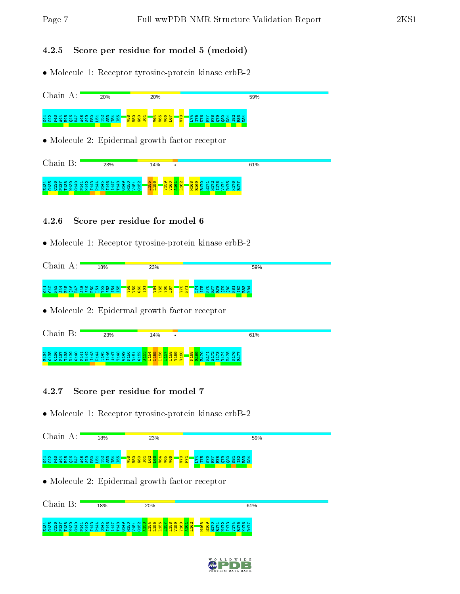## 4.2.5 Score per residue for model 5 (medoid)

• Molecule 1: Receptor tyrosine-protein kinase erbB-2

| Chain A:                                 | 20%                                                           | 20%                                                                        | 59%                                                                 |  |
|------------------------------------------|---------------------------------------------------------------|----------------------------------------------------------------------------|---------------------------------------------------------------------|--|
| 3334885448658856                         |                                                               | <mark>ិន្ទន្ទន</mark> ្ទ<br><b>PA</b>                                      | 833321<br>833<br><b>R</b> 84                                        |  |
|                                          |                                                               | • Molecule 2: Epidermal growth factor receptor                             |                                                                     |  |
| Chain B:                                 | 23%                                                           | 14%<br>٠                                                                   | 61%                                                                 |  |
| $M \cap D \cap A \cap Z \cap A \times H$ | ൶<br><b>For</b><br>$\mathbf{r} \cap \mathbf{H}$<br><b>COL</b> | 1155<br>115 <mark>6</mark><br><b><u>gegen</u></b><br>ю<br>,<br><b>City</b> | $\infty$<br><b>M16</b><br>÷<br>$\alpha$<br><b>COL</b><br><b>Det</b> |  |

### 4.2.6 Score per residue for model 6

• Molecule 1: Receptor tyrosine-protein kinase erbB-2

| Chain<br>л. | 18%                             | 23%                                                                                                             | 59%                                                                                |
|-------------|---------------------------------|-----------------------------------------------------------------------------------------------------------------|------------------------------------------------------------------------------------|
|             | ಈ<br>ത<br>ഥ<br>$\sim$<br>ഥ<br>ഥ | $\circ$<br>ര<br>$\circ$<br>₩.<br>− 1<br>-<br>-10<br>œ<br>5.8<br>$\frac{26}{3}$<br>ႜၜႍႜ<br><u>ୁ ବ</u><br>$\circ$ | $m +$<br>$\overline{\bullet}$ $\overline{\bullet}$<br>Ñ<br>చి<br>r.<br>E<br>~<br>⇒ |

• Molecule 2: Epidermal growth factor receptor

| Chain<br>$\mathbf{p}$ . | 23%                                                                                                                                                | 14%                                                       | 61%                                                                                                                   |  |
|-------------------------|----------------------------------------------------------------------------------------------------------------------------------------------------|-----------------------------------------------------------|-----------------------------------------------------------------------------------------------------------------------|--|
| #########<br>-          | a a a a a a<br>ு<br>ு<br>₽<br>ം<br>ıο<br>$  -$<br>$\rightarrow$<br>⊣<br>$\overline{\phantom{a}}$<br>⊣<br>⊶<br>-<br>-<br><b>NOOAHZOAXHAMHEHOZPO</b> | <b>888</b><br>÷<br><u>ਜ ਜ</u><br><b>E F F F F F F F F</b> | ⊲ ∞ ∾ ⊢<br><b>NM</b><br>$\rightarrow$<br><b>KO</b><br><b>Section</b><br>$ -$<br>-<br>-<br><b>A A A H H &gt; A X A</b> |  |

### 4.2.7 Score per residue for model 7

| Chain A:        | 18%            | 23%                                                                       | 59%                       |
|-----------------|----------------|---------------------------------------------------------------------------|---------------------------|
| 333488589856856 |                |                                                                           |                           |
|                 |                | • Molecule 2: Epidermal growth factor receptor                            |                           |
| Chain B:        | 18%            | 20%                                                                       | 61%                       |
| 真言              | 223231<br>12 E | ុននេះ នននទី ។ មិន ។ មិន មិន មិន ប្រព្ឋ <mark>នន្ទី នន្ទី ២ នន្ទី ឲ</mark> | M168<br>R169<br>38<br>불붙붙 |

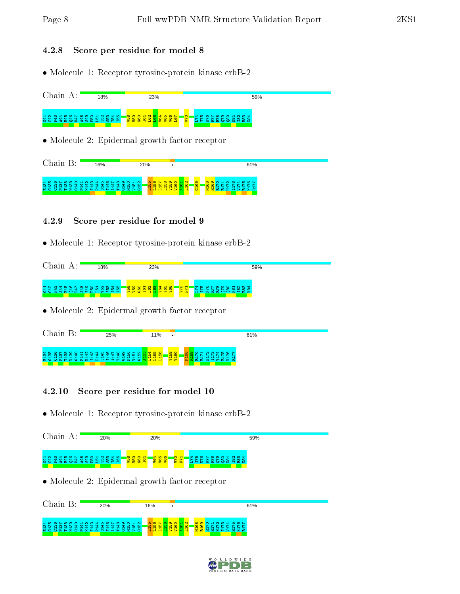### 4.2.8 Score per residue for model 8

• Molecule 1: Receptor tyrosine-protein kinase erbB-2

| Chain A:         | 18% | 23%                                                              | 59%  |
|------------------|-----|------------------------------------------------------------------|------|
| 3334385438656856 |     | <mark>ី ខ្លួ</mark> ខ្លួន <mark>ខ្លួន ខ្លួន</mark><br><u>iar</u> | ా ఈం |
|                  |     | • Molecule 2: Epidermal growth factor receptor                   |      |

| $\gamma$ hain                                                      | 16%                                                                                             | 20%                                                                                                        |                                                                                                                                            | 61%                                                                                                                                                               |  |
|--------------------------------------------------------------------|-------------------------------------------------------------------------------------------------|------------------------------------------------------------------------------------------------------------|--------------------------------------------------------------------------------------------------------------------------------------------|-------------------------------------------------------------------------------------------------------------------------------------------------------------------|--|
| $\frac{34}{135}$<br>$0 \sim 0$<br>തെത്തെ കക്<br>-<br>⊣<br>⊣<br>- - | COCOCOCHO<br>ਚਾਂ ਚਾਂ ਚ<br>-<br>-<br>-<br>-<br>⊣<br>⊣<br>-<br>-<br><b>NOOAHZOAXHAMH4HOZ&gt;O</b> | <b>4440</b><br>ം പ<br><b>ILO</b><br>ഥ<br>$\rightarrow$<br>- <del>- 1</del><br>-<br>$\overline{}$<br>−<br>e | <b>IQ</b><br>$0 \sim 0$ 000 $\sim$<br>$\circ$<br>$\circ$<br>Ю<br><b>IO</b><br>$\infty$<br>$\blacksquare$<br>ᆔ<br>−<br>$\mathbf{c}$<br>$-5$ | $0.0001$ $\alpha$ $\alpha$ $\beta$ $\alpha$ $\beta$ $\alpha$ $\beta$<br>œ<br>$\circ$ $\sim$<br>トトトトトト<br>~<br>---<br>-<br>-<br>- -<br><b>A A A H H &gt; A X A</b> |  |

### 4.2.9 Score per residue for model 9

• Molecule 1: Receptor tyrosine-protein kinase erbB-2

| Chain<br>д.                                                                            | 18%                                                                                | 23%                                                                                                                                             | 59%                                                                                                                                           |
|----------------------------------------------------------------------------------------|------------------------------------------------------------------------------------|-------------------------------------------------------------------------------------------------------------------------------------------------|-----------------------------------------------------------------------------------------------------------------------------------------------|
| H <sub>N</sub><br>- 61<br>ന<br>ഹ<br>$\circ$<br>œ<br>-<br>$\overline{\phantom{a}}$<br>÷ | <b>000000</b><br>$\sim$<br>っ<br>ൈ<br>$\overline{\phantom{a}}$<br>ယ<br>器<br>ю<br>o. | ത<br>$\mathbf{r}$<br>$\sim$<br><b>LO</b><br>¢<br>ക<br>$\overline{\phantom{0}}$<br><b>N</b><br>g<br>G<br><u>ୁକୁ</u><br>巴<br>ဖ<br>- 음<br>န္ထ<br>₽ | $\overline{\bullet}$ $\overline{\bullet}$<br><u>നക</u><br>⊲∗ ഥ<br>$\sim$<br>$\circ$<br>'N<br>.<br>—<br>82.<br>28<br>ి<br>E<br>S.<br>12 B<br>æ |

• Molecule 2: Epidermal growth factor receptor



### 4.2.10 Score per residue for model 10



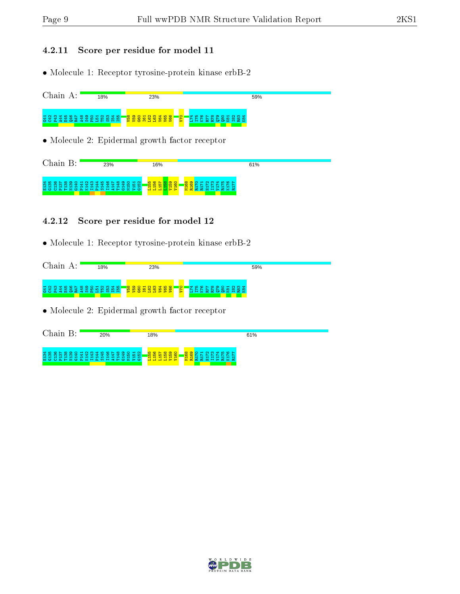## 4.2.11 Score per residue for model 11

• Molecule 1: Receptor tyrosine-protein kinase erbB-2

| Chain A:    | 18% | 23%                                                    | 59% |
|-------------|-----|--------------------------------------------------------|-----|
|             |     |                                                        |     |
|             |     |                                                        |     |
|             |     |                                                        |     |
|             |     |                                                        |     |
|             |     | $\bullet$ Molecule 2: Epidermal growth factor receptor |     |
|             |     |                                                        |     |
|             |     |                                                        |     |
| $Chain B$ : | 23% | 16%                                                    | 61% |

#### E134 G135 C136 P137 T138 N139 G140 P141 K142 I143 P144 S145 I146 A147 T148 G149 M150 V151 G152 oata<br>1985<br>1985<br>1985 M168<br>R170<br>R172<br>R1772<br>R177<br>R177<br>R177

## 4.2.12 Score per residue for model 12

• Molecule 1: Receptor tyrosine-protein kinase erbB-2

| Chain<br>$\mathbf{A}$ .                 | 18%                                               | 23%                                                              | 59%                                                                                    |
|-----------------------------------------|---------------------------------------------------|------------------------------------------------------------------|----------------------------------------------------------------------------------------|
| $\overline{\phantom{a}}$<br>₩<br>÷<br>- | $\mathbf{d}$<br>ഥ<br>꽀<br>ဟ ယ<br>ю<br>ഥ<br>÷<br>ഥ | n d<br>$\circ$<br><b>IQ</b><br>ര<br>ത<br>$\sim$<br>ᆔ<br><b>i</b> | O H N M<br>$\infty$<br>$\circ$ $\sim$<br>'പറ<br><b>O</b><br>െ<br>$\overline{5}$<br>28. |

• Molecule 2: Epidermal growth factor receptor

| Chain<br>R.                                                                                     | 20%                                                                                                                                                                   | 18%                                                                                                                                                                                                                                                                                                                                         | 61%                                                                                                                       |
|-------------------------------------------------------------------------------------------------|-----------------------------------------------------------------------------------------------------------------------------------------------------------------------|---------------------------------------------------------------------------------------------------------------------------------------------------------------------------------------------------------------------------------------------------------------------------------------------------------------------------------------------|---------------------------------------------------------------------------------------------------------------------------|
| $\frac{4}{3}$ $\frac{6}{5}$<br>়ু<br>੩<br>÷<br>m<br>ന<br>ന<br>÷<br>⊣<br>ᅱ<br>--<br>⊣<br>-<br>Мö | . ಇ ತ<br>്പ<br>\$ <del>1</del> \$<br>兽.<br>္ခရာ ဥ<br>ഥ<br>ഥ<br>$\overline{\phantom{a}}$<br>$\overline{\phantom{a}}$<br>-<br>- -<br>⊣<br>-<br><b>OAFZOAXHAMHEPOZPO</b> | $\circ$ $\circ$ $\circ$ $\circ$ $\circ$<br><b>IQ</b><br><b>O</b><br><u> ဟိ ယိ</u><br>$\circ$<br>10 10<br>10.<br>$\blacksquare$<br>$\blacksquare$<br>$\mathbf{r}$<br>H<br>$\overline{\phantom{a}}$<br>-<br>$\begin{array}{c c c c c} \n\hline\n\text{H} & \text{H} & \text{H} & \text{H} & \text{H} & \text{H} & \text{H}\n\end{array}$<br>Ξ | ്റ ന<br>P 10 10 N<br>$\circ$ $\circ$ $\circ$<br>$\overline{\phantom{a}}$<br>$\sim$<br>~<br>⊣<br>-<br>⊣<br><b>EEEHPEKE</b> |

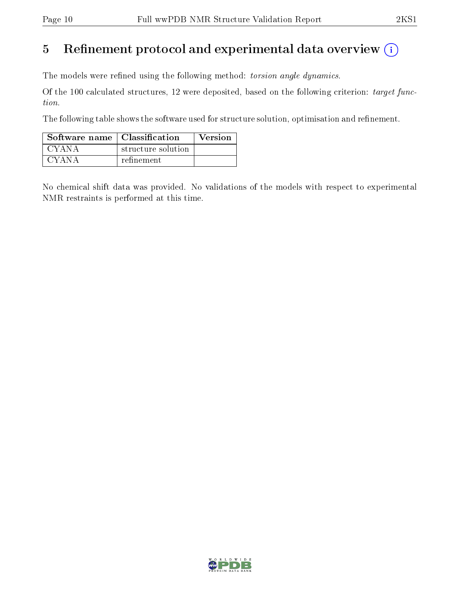## 5 Refinement protocol and experimental data overview  $\binom{1}{k}$

The models were refined using the following method: torsion angle dynamics.

Of the 100 calculated structures, 12 were deposited, based on the following criterion: target function.

The following table shows the software used for structure solution, optimisation and refinement.

| Software name   Classification |                    | <b>Version</b> |
|--------------------------------|--------------------|----------------|
| CYANA                          | structure solution |                |
| CYANA                          | refinement         |                |

No chemical shift data was provided. No validations of the models with respect to experimental NMR restraints is performed at this time.

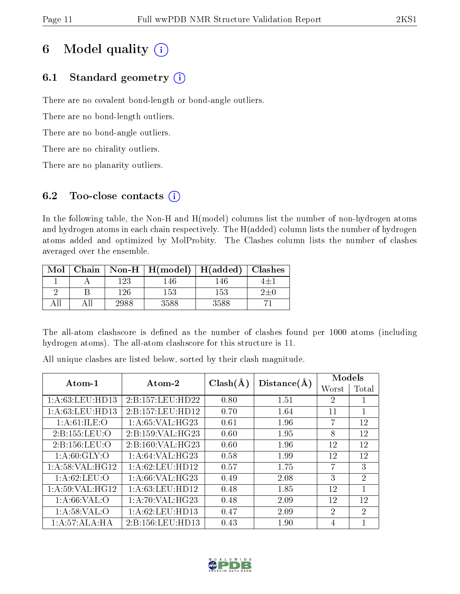# 6 Model quality  $(i)$

## 6.1 Standard geometry  $(i)$

There are no covalent bond-length or bond-angle outliers.

There are no bond-length outliers.

There are no bond-angle outliers.

There are no chirality outliers.

There are no planarity outliers.

## 6.2 Too-close contacts  $(i)$

In the following table, the Non-H and H(model) columns list the number of non-hydrogen atoms and hydrogen atoms in each chain respectively. The H(added) column lists the number of hydrogen atoms added and optimized by MolProbity. The Clashes column lists the number of clashes averaged over the ensemble.

| Mol |      | Chain   Non-H   H(model)   H(added)   Clashes |        |  |
|-----|------|-----------------------------------------------|--------|--|
|     | 23   |                                               | . 46.  |  |
|     | l 26 | 153                                           | 153    |  |
|     | 2988 |                                               | $-588$ |  |

The all-atom clashscore is defined as the number of clashes found per 1000 atoms (including hydrogen atoms). The all-atom clashscore for this structure is 11.

All unique clashes are listed below, sorted by their clash magnitude.

| Atom-1                      | Atom-2               | $Clash(\AA)$ | Distance(A) | Models         |                |
|-----------------------------|----------------------|--------------|-------------|----------------|----------------|
|                             |                      |              |             | Worst          | Total          |
| 1: A:63:LEU:HD13            | 2:B:157:LEU:HD22     | 0.80         | 1.51        | $\overline{2}$ |                |
| 1: A:63:LEU:HD13            | 2:B:157:LEU:HD12     | 0.70         | 1.64        | 11             | 1              |
| 1: A:61:ILE:O               | 1:A:65:VAL:HG23      | 0.61         | 1.96        | 7              | 12             |
| 2:B:155:LEU:O               | 2: B: 159: VAL: HG23 | 0.60         | 1.95        | 8              | 12             |
| 2:B:156:LEU:O               | 2:B:160:VAL:HG23     | 0.60         | 1.96        | 12             | 12             |
| $1: A:60: \overline{GLY:O}$ | 1:A:64:VAL:HG23      | 0.58         | 1.99        | 12             | 12             |
| 1: A:58: VAL:HG12           | 1: A:62:LEU:HD12     | 0.57         | 1.75        | 7              | 3              |
| 1: A:62:LEU:O               | 1: A:66: VAL:HG23    | 0.49         | 2.08        | 3              | $\overline{2}$ |
| 1: A:59: VAL:HG12           | 1: A:63:LEU:HD12     | 0.48         | 1.85        | 12             | 1              |
| 1: A:66:VAL:O               | 1:A:70:VAL:HG23      | 0.48         | 2.09        | 12             | 12             |
| 1: A:58:VAL:O               | 1: A:62:LEU:HD13     | 0.47         | 2.09        | $\mathfrak{D}$ | $\overline{2}$ |
| 1:A:57:ALA:HA               | 2:B:156:LEU:HD13     | 0.43         | 1.90        | 4              |                |

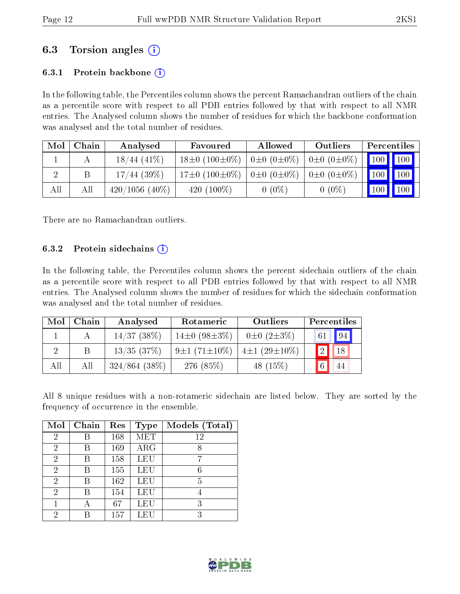## 6.3 Torsion angles (i)

## 6.3.1 Protein backbone  $(i)$

In the following table, the Percentiles column shows the percent Ramachandran outliers of the chain as a percentile score with respect to all PDB entries followed by that with respect to all NMR entries. The Analysed column shows the number of residues for which the backbone conformation was analysed and the total number of residues.

| Mol | Chain | Analysed         | Favoured                 | Allowed                 | Outliers              | Percentiles                  |  |
|-----|-------|------------------|--------------------------|-------------------------|-----------------------|------------------------------|--|
|     |       | $18/44(41\%)$    | $18\pm0$ (100 $\pm0\%$ ) | $0 \pm 0$ $(0 \pm 0\%)$ | $0\pm 0$ $(0\pm 0\%)$ | 100 100                      |  |
|     |       | $17/44$ (39%)    | $17\pm0$ $(100\pm0\%)$   | $0 \pm 0$ $(0 \pm 0\%)$ | $0\pm 0$ $(0\pm 0\%)$ | $\mid$ 100 $\mid$ 100 $\mid$ |  |
| All | All   | $420/1056(40\%)$ | 420 $(100\%)$            | $0(0\%)$                | $0(0\%)$              | $\mid$ 100 $\mid$ 100 $\mid$ |  |

There are no Ramachandran outliers.

### 6.3.2 Protein sidechains  $\hat{1}$

In the following table, the Percentiles column shows the percent sidechain outliers of the chain as a percentile score with respect to all PDB entries followed by that with respect to all NMR entries. The Analysed column shows the number of residues for which the sidechain conformation was analysed and the total number of residues.

| Mol | Chain | Analysed         | Rotameric                               | Outliers              | Percentiles            |
|-----|-------|------------------|-----------------------------------------|-----------------------|------------------------|
|     |       | $14/37$ (38%)    | $14\pm0$ (98 $\pm3\%$ )                 | $0\pm 0$ $(2\pm 3\%)$ | $\vert 94 \vert$<br>61 |
|     |       | 13/35(37%)       | $9\pm1(71\pm10\%)$   $4\pm1(29\pm10\%)$ |                       | 12 <sub>h</sub><br>18  |
| All | All   | $324/864$ (38\%) | 276 (85%)                               | 48 $(15%)$            | 44                     |

All 8 unique residues with a non-rotameric sidechain are listed below. They are sorted by the frequency of occurrence in the ensemble.

| Mol            | Chain | Res | <b>Type</b>             | Models (Total) |
|----------------|-------|-----|-------------------------|----------------|
| $\overline{2}$ |       | 168 | $\overline{\text{MET}}$ | 12             |
| 2              | В     | 169 | ARG                     | 8              |
| 2              | R     | 158 | LEU                     | 7              |
| 2              | R     | 155 | LEU                     | 6              |
| 2              | R     | 162 | LEU                     | 5              |
| 2              | В     | 154 | LEU                     |                |
| 1              |       | 67  | LEU                     | 3              |
| 2              |       | 157 | LEU                     | 3              |

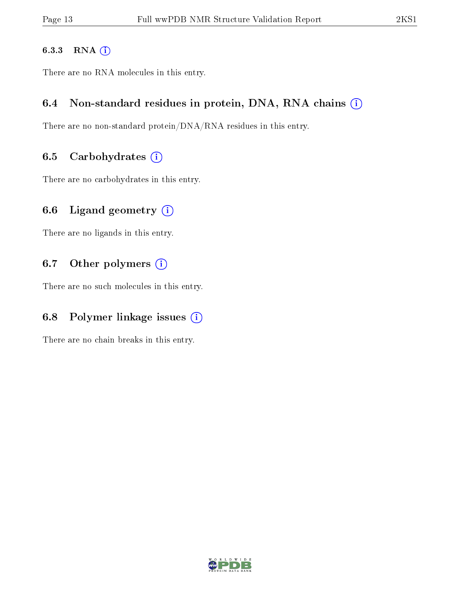### 6.3.3 RNA [O](https://www.wwpdb.org/validation/2017/NMRValidationReportHelp#rna)i

There are no RNA molecules in this entry.

## 6.4 Non-standard residues in protein, DNA, RNA chains (i)

There are no non-standard protein/DNA/RNA residues in this entry.

## 6.5 Carbohydrates  $(i)$

There are no carbohydrates in this entry.

## 6.6 Ligand geometry  $(i)$

There are no ligands in this entry.

## 6.7 [O](https://www.wwpdb.org/validation/2017/NMRValidationReportHelp#nonstandard_residues_and_ligands)ther polymers (i)

There are no such molecules in this entry.

## 6.8 Polymer linkage issues  $(i)$

There are no chain breaks in this entry.